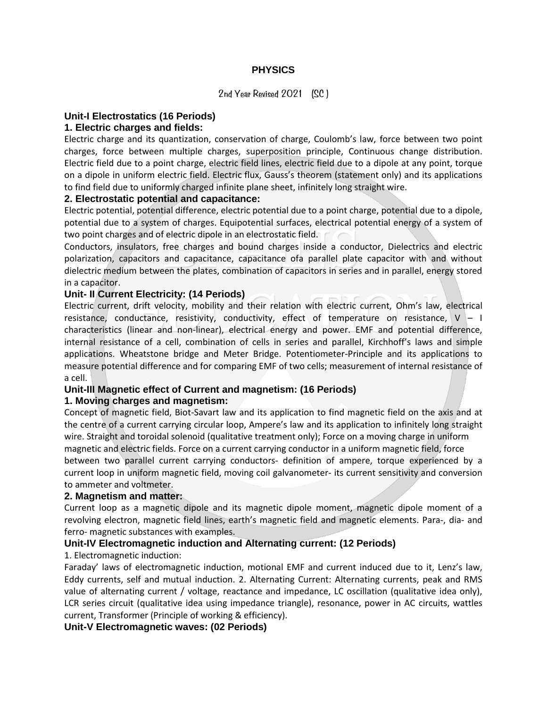## **PHYSICS**

2nd Year Revised 2021 (SC )

#### **Unit-I Electrostatics (16 Periods)**

## **1. Electric charges and fields:**

Electric charge and its quantization, conservation of charge, Coulomb's law, force between two point charges, force between multiple charges, superposition principle, Continuous change distribution. Electric field due to a point charge, electric field lines, electric field due to a dipole at any point, torque on a dipole in uniform electric field. Electric flux, Gauss's theorem (statement only) and its applications to find field due to uniformly charged infinite plane sheet, infinitely long straight wire.

#### **2. Electrostatic potential and capacitance:**

Electric potential, potential difference, electric potential due to a point charge, potential due to a dipole, potential due to a system of charges. Equipotential surfaces, electrical potential energy of a system of two point charges and of electric dipole in an electrostatic field.

Conductors, insulators, free charges and bound charges inside a conductor, Dielectrics and electric polarization, capacitors and capacitance, capacitance ofa parallel plate capacitor with and without dielectric medium between the plates, combination of capacitors in series and in parallel, energy stored in a capacitor.

#### **Unit- II Current Electricity: (14 Periods)**

Electric current, drift velocity, mobility and their relation with electric current, Ohm's law, electrical resistance, conductance, resistivity, conductivity, effect of temperature on resistance,  $V - I$ characteristics (linear and non-linear), electrical energy and power. EMF and potential difference, internal resistance of a cell, combination of cells in series and parallel, Kirchhoff's laws and simple applications. Wheatstone bridge and Meter Bridge. Potentiometer-Principle and its applications to measure potential difference and for comparing EMF of two cells; measurement of internal resistance of a cell.

## **Unit-III Magnetic effect of Current and magnetism: (16 Periods)**

## **1. Moving charges and magnetism:**

Concept of magnetic field, Biot-Savart law and its application to find magnetic field on the axis and at the centre of a current carrying circular loop, Ampere's law and its application to infinitely long straight wire. Straight and toroidal solenoid (qualitative treatment only); Force on a moving charge in uniform magnetic and electric fields. Force on a current carrying conductor in a uniform magnetic field, force between two parallel current carrying conductors- definition of ampere, torque experienced by a current loop in uniform magnetic field, moving coil galvanometer- its current sensitivity and conversion to ammeter and voltmeter.

#### **2. Magnetism and matter:**

Current loop as a magnetic dipole and its magnetic dipole moment, magnetic dipole moment of a revolving electron, magnetic field lines, earth's magnetic field and magnetic elements. Para-, dia- and ferro- magnetic substances with examples.

# **Unit-IV Electromagnetic induction and Alternating current: (12 Periods)**

## 1. Electromagnetic induction:

Faraday' laws of electromagnetic induction, motional EMF and current induced due to it, Lenz's law, Eddy currents, self and mutual induction. 2. Alternating Current: Alternating currents, peak and RMS value of alternating current / voltage, reactance and impedance, LC oscillation (qualitative idea only), LCR series circuit (qualitative idea using impedance triangle), resonance, power in AC circuits, wattles current, Transformer (Principle of working & efficiency).

## **Unit-V Electromagnetic waves: (02 Periods)**